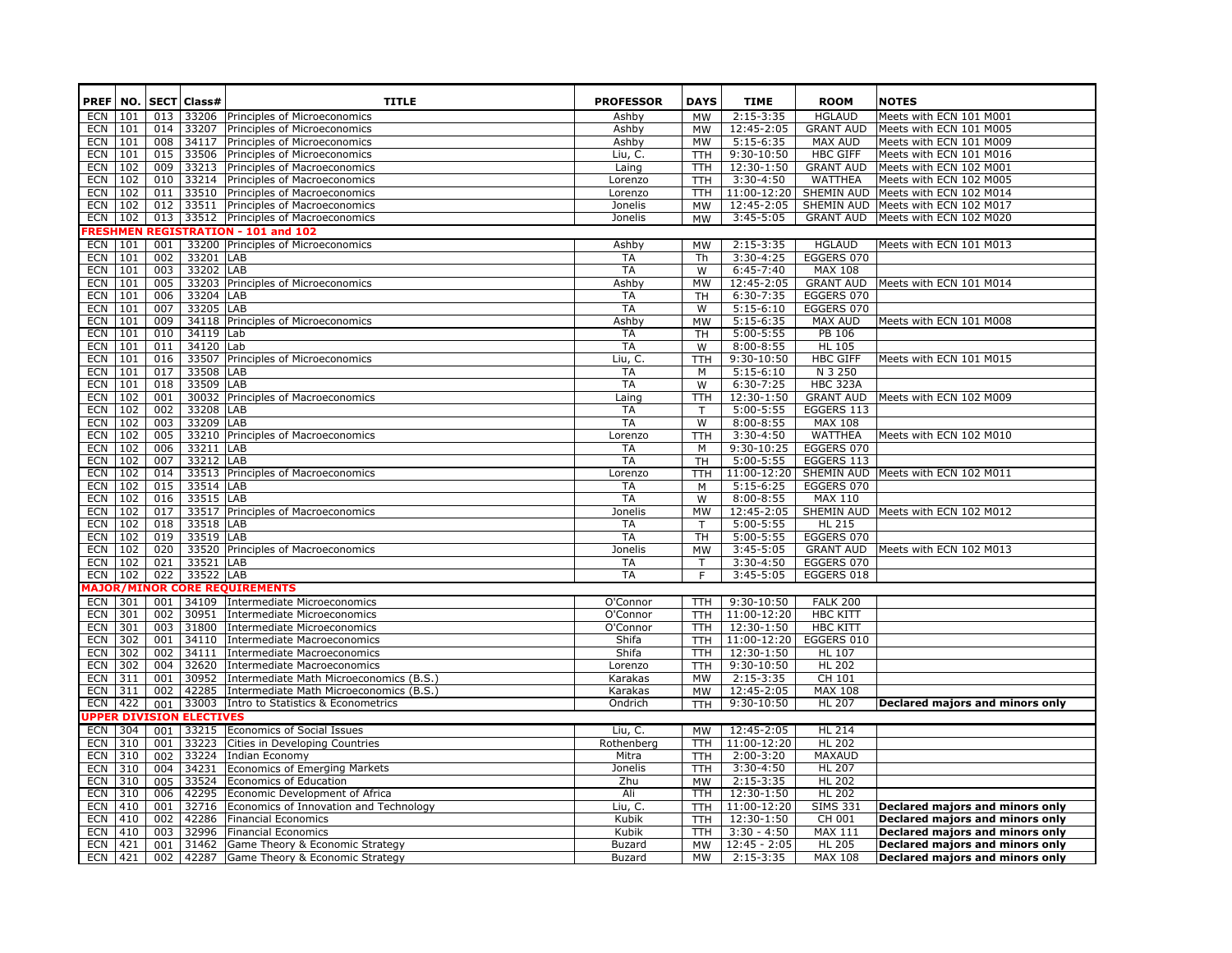|                          |            |            | PREF   NO.   SECT   Class#      | <b>TITLE</b>                                                                                   | <b>PROFESSOR</b>               | <b>DAYS</b>            | <b>TIME</b>                     | <b>ROOM</b>                     | <b>NOTES</b>                                                       |
|--------------------------|------------|------------|---------------------------------|------------------------------------------------------------------------------------------------|--------------------------------|------------------------|---------------------------------|---------------------------------|--------------------------------------------------------------------|
| ECN                      | 101        |            |                                 | 013 33206 Principles of Microeconomics                                                         | Ashby                          | MW                     | $2:15-3:35$                     | <b>HGLAUD</b>                   | Meets with ECN 101 M001                                            |
| ECN                      | 101        |            |                                 | 014 33207 Principles of Microeconomics                                                         | Ashby                          | <b>MW</b>              | 12:45-2:05                      | <b>GRANT AUD</b>                | Meets with ECN 101 M005                                            |
| <b>ECN</b>               | 101        | 008        | 34117                           | Principles of Microeconomics                                                                   | Ashby                          | MW                     | 5:15-6:35                       | MAX AUD                         | Meets with ECN 101 M009                                            |
| <b>ECN</b>               | 101        | 015        |                                 | 33506 Principles of Microeconomics                                                             | Liu, C.                        | <b>TTH</b>             | 9:30-10:50                      | <b>HBC GIFF</b>                 | Meets with ECN 101 M016                                            |
| <b>ECN</b>               | 102        | 009        |                                 | 33213 Principles of Macroeconomics                                                             | Laing                          | <b>TTH</b>             | 12:30-1:50                      | <b>GRANT AUD</b>                | Meets with ECN 102 M001                                            |
| <b>ECN</b>               | 102        | 010        |                                 | 33214 Principles of Macroeconomics                                                             | Lorenzo                        | <b>TTH</b>             | 3:30-4:50                       | WATTHEA                         | Meets with ECN 102 M005                                            |
| <b>ECN</b>               | 102        | 011        |                                 | 33510 Principles of Macroeconomics                                                             | Lorenzo                        | <b>TTH</b>             | 11:00-12:20                     | SHEMIN AUD                      | Meets with ECN 102 M014                                            |
| <b>ECN</b>               | 102        | 012        |                                 | 33511 Principles of Macroeconomics                                                             | Jonelis                        | MW                     | 12:45-2:05                      | SHEMIN AUD                      | Meets with ECN 102 M017                                            |
| ECN                      | 102        |            |                                 | 013 33512 Principles of Macroeconomics                                                         | Jonelis                        | MW                     | 3:45-5:05                       | <b>GRANT AUD</b>                | Meets with ECN 102 M020                                            |
|                          |            |            |                                 | RESHMEN REGISTRATION - 101 and 102                                                             |                                |                        |                                 |                                 |                                                                    |
| ECN                      | 101        | 001        |                                 | 33200 Principles of Microeconomics                                                             | Ashby                          | <b>MW</b>              | $2:15-3:35$                     | <b>HGLAUD</b>                   | Meets with ECN 101 M013                                            |
| <b>ECN</b>               | 101        | 002        | 33201 LAB                       |                                                                                                | <b>TA</b>                      | Th                     | 3:30-4:25                       | EGGERS 070                      |                                                                    |
| <b>ECN</b>               | 101        | 003        | 33202 LAB                       |                                                                                                | <b>TA</b>                      | W                      | 6:45-7:40                       | <b>MAX 108</b>                  |                                                                    |
| <b>ECN</b>               | 101        | 005        |                                 | 33203 Principles of Microeconomics                                                             | Ashby                          | <b>MW</b>              | 12:45-2:05                      | <b>GRANT AUD</b>                | Meets with ECN 101 M014                                            |
| <b>ECN</b>               | 101        | 006        | 33204 LAB                       |                                                                                                | <b>TA</b>                      | <b>TH</b>              | $6:30-7:35$                     | EGGERS 070                      |                                                                    |
| <b>ECN</b>               | 101        | 007        | 33205 LAB                       |                                                                                                | <b>TA</b>                      | W                      | $5:15-6:10$                     | EGGERS 070                      |                                                                    |
| <b>ECN</b>               | 101        | 009        |                                 | 34118 Principles of Microeconomics                                                             | Ashby                          | <b>MW</b>              | $5:15-6:35$                     | MAX AUD                         | Meets with ECN 101 M008                                            |
| <b>ECN</b>               | 101        | 010        | 34119 Lab                       |                                                                                                | TA                             | <b>TH</b>              | $5:00-5:55$                     | PB 106                          |                                                                    |
| ECN                      | 101        | 011        | 34120 Lab                       |                                                                                                | <b>TA</b>                      | W                      | $8:00 - 8:55$                   | <b>HL 105</b>                   |                                                                    |
| <b>ECN</b>               | 101        | 016        |                                 | 33507 Principles of Microeconomics                                                             | Liu, C.                        | <b>TTH</b>             | $9:30-10:50$                    | <b>HBC GIFF</b>                 | Meets with ECN 101 M015                                            |
| <b>ECN</b>               | 101        | 017        | 33508 LAB                       |                                                                                                | TA                             | M                      | $5:15-6:10$                     | N 3 250                         |                                                                    |
| <b>ECN</b>               | 101        | 018        | 33509 LAB                       |                                                                                                | <b>TA</b>                      | W                      | $6:30-7:25$                     | <b>HBC 323A</b>                 |                                                                    |
| <b>ECN</b>               | 102        | 001        |                                 | 30032 Principles of Macroeconomics                                                             | Laing                          | <b>TTH</b>             | 12:30-1:50                      | <b>GRANT AUD</b>                | Meets with ECN 102 M009                                            |
| <b>ECN</b>               | 102        | 002        | 33208 LAB                       |                                                                                                | TA                             | т                      | $5:00-5:55$                     | EGGERS 113                      |                                                                    |
| <b>ECN</b>               | 102        | 003        | 33209 LAB                       |                                                                                                | <b>TA</b>                      | W                      | $8:00 - 8:55$                   | <b>MAX 108</b>                  |                                                                    |
| <b>ECN</b>               | 102        | 005        |                                 | 33210 Principles of Macroeconomics                                                             | Lorenzo                        | <b>TTH</b>             | $3:30-4:50$                     | <b>WATTHEA</b>                  | Meets with ECN 102 M010                                            |
| <b>ECN</b>               | 102        | 006        | 33211 LAB                       |                                                                                                | TA                             | M                      | 9:30-10:25                      | EGGERS 070                      |                                                                    |
| <b>ECN</b>               | 102        | 007        | 33212 LAB                       |                                                                                                | <b>TA</b>                      | <b>TH</b>              | 5:00-5:55                       | EGGERS 113                      |                                                                    |
| <b>ECN</b>               | 102        | 014        |                                 | 33513 Principles of Macroeconomics                                                             | Lorenzo                        | <b>TTH</b>             | 11:00-12:20                     |                                 | SHEMIN AUD Meets with ECN 102 M011                                 |
| <b>ECN</b>               | 102        | 015        | 33514 LAB                       |                                                                                                | TA                             | M                      | $5:15-6:25$                     | EGGERS 070                      |                                                                    |
| <b>ECN</b>               | 102        | 016        | 33515 LAB                       |                                                                                                | <b>TA</b>                      | W                      | $8:00 - 8:55$                   | MAX 110                         |                                                                    |
| <b>ECN</b>               | 102        | 017        |                                 | 33517 Principles of Macroeconomics                                                             | Jonelis                        | <b>MW</b>              | 12:45-2:05                      | SHEMIN AUD                      | Meets with ECN 102 M012                                            |
| <b>ECN</b>               | 102        | 018        | 33518 LAB                       |                                                                                                | <b>TA</b>                      | T                      | $5:00-5:55$                     | <b>HL 215</b>                   |                                                                    |
| <b>ECN</b>               | 102        | 019        | 33519 LAB                       |                                                                                                | <b>TA</b>                      | TH                     | $5:00 - 5:55$                   | EGGERS 070                      |                                                                    |
| ECN                      | 102        | 020        |                                 | 33520 Principles of Macroeconomics                                                             | Jonelis                        | <b>MW</b>              | 3:45-5:05                       | <b>GRANT AUD</b>                | Meets with ECN 102 M013                                            |
| <b>ECN</b>               | 102        | 021<br>022 | 33521 LAB                       |                                                                                                | <b>TA</b>                      | т                      | $3:30-4:50$                     | EGGERS 070                      |                                                                    |
| <b>ECN</b>               | 102        |            | 33522 LAB                       |                                                                                                | <b>TA</b>                      | F.                     | 3:45-5:05                       | EGGERS 018                      |                                                                    |
|                          |            |            |                                 | <b>AAJOR/MINOR CORE REQUIREMENTS</b>                                                           |                                |                        |                                 |                                 |                                                                    |
| ECN                      | 301        |            |                                 | 001 34109 Intermediate Microeconomics                                                          | O'Connor                       | TTH.                   | $9:30-10:50$                    | <b>FALK 200</b>                 |                                                                    |
| <b>ECN</b>               | 301        | 002        |                                 | 30951 Intermediate Microeconomics                                                              | O'Connor                       | TTH.                   | 11:00-12:20                     | <b>HBC KITT</b>                 |                                                                    |
| <b>ECN</b>               | 301        | 003        | 31800                           | Intermediate Microeconomics                                                                    | O'Connor                       | <b>TTH</b>             | 12:30-1:50                      | <b>HBC KITT</b>                 |                                                                    |
| <b>ECN</b>               | 302        | 001        |                                 | 34110 Intermediate Macroeconomics                                                              | Shifa                          | <b>TTH</b>             | 11:00-12:20                     | EGGERS 010                      |                                                                    |
| <b>ECN</b>               | 302        | 002<br>004 |                                 | 34111 Intermediate Macroeconomics                                                              | Shifa                          | TTH.                   | 12:30-1:50                      | <b>HL 107</b>                   |                                                                    |
| <b>ECN</b>               | 302        |            |                                 | 32620 Intermediate Macroeconomics                                                              | Lorenzo                        | TTH.                   | 9:30-10:50                      | <b>HL 202</b>                   |                                                                    |
| <b>ECN</b><br><b>ECN</b> | 311<br>311 | 001<br>002 |                                 | 30952 Intermediate Math Microeconomics (B.S.)<br>42285 Intermediate Math Microeconomics (B.S.) | Karakas                        | <b>MW</b><br><b>MW</b> | 2:15-3:35<br>12:45-2:05         | CH 101<br><b>MAX 108</b>        |                                                                    |
| <b>ECN</b>               | 422        |            |                                 |                                                                                                | Karakas                        |                        |                                 | <b>HL 207</b>                   |                                                                    |
|                          |            | 001        |                                 | 33003 Intro to Statistics & Econometrics                                                       | Ondrich                        | <b>TTH</b>             | 9:30-10:50                      |                                 | Declared majors and minors only                                    |
|                          |            |            | <b>JPPER DIVISION ELECTIVES</b> |                                                                                                |                                |                        |                                 |                                 |                                                                    |
| ECN                      | 304        | 001        |                                 | 33215 Economics of Social Issues                                                               | Liu, C.                        | МW                     | 12:45-2:05                      | <b>HL 214</b>                   |                                                                    |
| <b>ECN</b>               | 310        | 001        | 33223                           | Cities in Developing Countries                                                                 | Rothenberg                     | TTH.                   | 11:00-12:20                     | <b>HL 202</b>                   |                                                                    |
| <b>ECN</b>               | 310        | 002        |                                 | 33224 Indian Economy                                                                           | Mitra                          | TTH.                   | 2:00-3:20                       | MAXAUD                          |                                                                    |
| <b>ECN</b>               | 310        | 004        | 34231                           | Economics of Emerging Markets                                                                  | Jonelis                        | <b>TTH</b>             | $3:30-4:50$                     | <b>HL 207</b>                   |                                                                    |
| <b>ECN</b>               | 310        | 005        |                                 | 33524 Economics of Education                                                                   | Zhu                            | <b>MW</b>              | $2:15-3:35$                     | <b>HL 202</b>                   |                                                                    |
| <b>ECN</b>               | 310        | 006        |                                 | 42295 Economic Development of Africa                                                           | Ali                            | <b>TTH</b>             | 12:30-1:50                      | <b>HL 202</b>                   |                                                                    |
| <b>ECN</b>               | 410        | 001        |                                 | 32716 Economics of Innovation and Technology                                                   | Liu, C.                        | TTH                    | 11:00-12:20                     | <b>SIMS 331</b>                 | Declared majors and minors only                                    |
| <b>ECN</b>               | 410        | 002        |                                 | 42286 Financial Economics                                                                      | Kubik                          | <b>TTH</b>             | 12:30-1:50                      | CH 001                          | Declared majors and minors only                                    |
| <b>ECN</b><br><b>ECN</b> | 410<br>421 | 003<br>001 |                                 | 32996 Financial Economics                                                                      | Kubik                          | TTH.                   | $3:30 - 4:50$<br>$12:45 - 2:05$ | <b>MAX 111</b><br><b>HL 205</b> | Declared majors and minors only                                    |
| <b>ECN</b>               | 421        |            |                                 | 31462 Game Theory & Economic Strategy<br>002 42287 Game Theory & Economic Strategy             | <b>Buzard</b><br><b>Buzard</b> | MW<br><b>MW</b>        | 2:15-3:35                       | <b>MAX 108</b>                  | Declared majors and minors only<br>Declared majors and minors only |
|                          |            |            |                                 |                                                                                                |                                |                        |                                 |                                 |                                                                    |